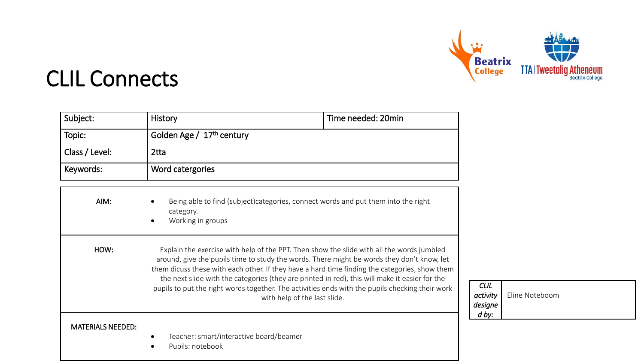

*CLIL activity designe d by:* 

Eline Noteboom

#### CLIL Connects

| Subject:       | History                               | Time needed: 20min |
|----------------|---------------------------------------|--------------------|
| Topic:         | Golden Age / 17 <sup>th</sup> century |                    |
| Class / Level: | 2tta                                  |                    |
| Keywords:      | Word catergories                      |                    |

| AIM:                     | Being able to find (subject)categories, connect words and put them into the right<br>category.<br>Working in groups                                                                                                                                                                                                                                                                                                                                                                                                           |
|--------------------------|-------------------------------------------------------------------------------------------------------------------------------------------------------------------------------------------------------------------------------------------------------------------------------------------------------------------------------------------------------------------------------------------------------------------------------------------------------------------------------------------------------------------------------|
| HOW:                     | Explain the exercise with help of the PPT. Then show the slide with all the words jumbled<br>around, give the pupils time to study the words. There might be words they don't know, let<br>them dicuss these with each other. If they have a hard time finding the categories, show them<br>the next slide with the categories (they are printed in red), this will make it easier for the<br>pupils to put the right words together. The activities ends with the pupils checking their work<br>with help of the last slide. |
| <b>MATERIALS NEEDED:</b> | Teacher: smart/interactive board/beamer<br>٠<br>Pupils: notebook                                                                                                                                                                                                                                                                                                                                                                                                                                                              |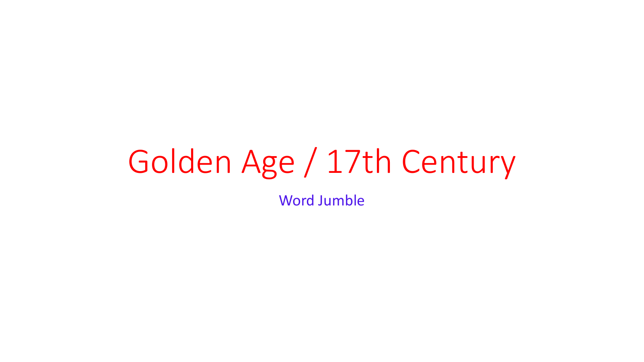# Golden Age / 17th Century

Word Jumble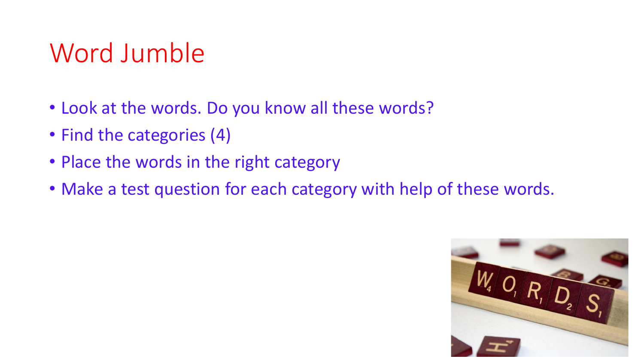## Word Jumble

- Look at the words. Do you know all these words?
- Find the categories (4)
- Place the words in the right category
- Make a test question for each category with help of these words.

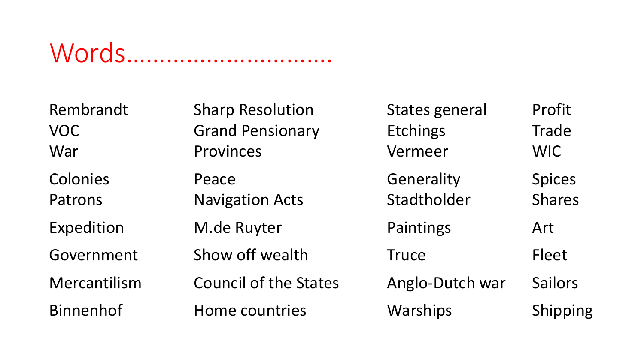### Words………………………….

| Rembrandt<br><b>VOC</b><br>War | <b>Sharp Resolution</b><br><b>Grand Pensionary</b><br>Provinces | <b>States general</b><br>Etchings<br>Vermeer | Profit<br>Trade<br><b>WIC</b>  |
|--------------------------------|-----------------------------------------------------------------|----------------------------------------------|--------------------------------|
| Colonies<br>Patrons            | Peace<br><b>Navigation Acts</b>                                 | Generality<br>Stadtholder                    | <b>Spices</b><br><b>Shares</b> |
| Expedition                     | M.de Ruyter                                                     | Paintings                                    | Art                            |
| Government                     | Show off wealth                                                 | <b>Truce</b>                                 | Fleet                          |
| Mercantilism                   | <b>Council of the States</b>                                    | Anglo-Dutch war                              | <b>Sailors</b>                 |
| <b>Binnenhof</b>               | Home countries                                                  | Warships                                     | Shipping                       |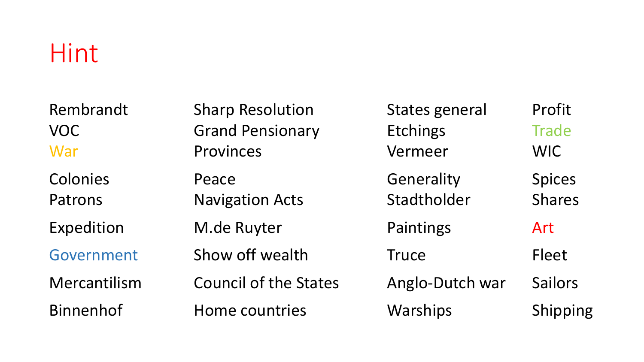#### Hint

| Rembrandt<br><b>VOC</b><br>War | <b>Sharp Resolution</b><br><b>Grand Pensionary</b><br>Provinces | States general<br>Etchings<br>Vermeer | Profit<br><b>Trade</b><br>WIC  |
|--------------------------------|-----------------------------------------------------------------|---------------------------------------|--------------------------------|
| Colonies<br>Patrons            | Peace<br><b>Navigation Acts</b>                                 | Generality<br>Stadtholder             | <b>Spices</b><br><b>Shares</b> |
| Expedition                     | M.de Ruyter                                                     | Paintings                             | Art                            |
| Government                     | Show off wealth                                                 | <b>Truce</b>                          | <b>Fleet</b>                   |
| Mercantilism                   | <b>Council of the States</b>                                    | Anglo-Dutch war                       | <b>Sailors</b>                 |
| <b>Binnenhof</b>               | Home countries                                                  | Warships                              | Shipping                       |